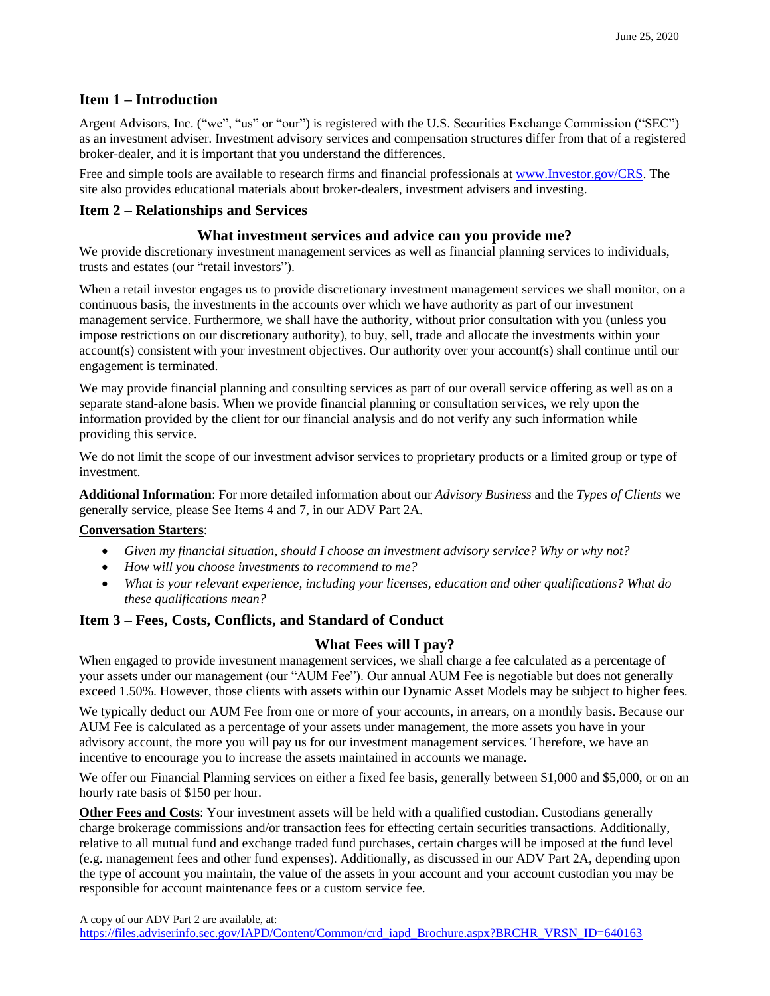## **Item 1 – Introduction**

Argent Advisors, Inc. ("we", "us" or "our") is registered with the U.S. Securities Exchange Commission ("SEC") as an investment adviser. Investment advisory services and compensation structures differ from that of a registered broker-dealer, and it is important that you understand the differences.

Free and simple tools are available to research firms and financial professionals at [www.Investor.gov/CRS.](http://www.investor.gov/CRS) The site also provides educational materials about broker-dealers, investment advisers and investing.

### **Item 2 – Relationships and Services**

### **What investment services and advice can you provide me?**

We provide discretionary investment management services as well as financial planning services to individuals, trusts and estates (our "retail investors").

When a retail investor engages us to provide discretionary investment management services we shall monitor, on a continuous basis, the investments in the accounts over which we have authority as part of our investment management service. Furthermore, we shall have the authority, without prior consultation with you (unless you impose restrictions on our discretionary authority), to buy, sell, trade and allocate the investments within your account(s) consistent with your investment objectives. Our authority over your account(s) shall continue until our engagement is terminated.

We may provide financial planning and consulting services as part of our overall service offering as well as on a separate stand-alone basis. When we provide financial planning or consultation services, we rely upon the information provided by the client for our financial analysis and do not verify any such information while providing this service.

We do not limit the scope of our investment advisor services to proprietary products or a limited group or type of investment.

**Additional Information**: For more detailed information about our *Advisory Business* and the *Types of Clients* we generally service, please See Items 4 and 7, in our ADV Part 2A.

### **Conversation Starters**:

- *Given my financial situation, should I choose an investment advisory service? Why or why not?*
- *How will you choose investments to recommend to me?*
- *What is your relevant experience, including your licenses, education and other qualifications? What do these qualifications mean?*

### **Item 3 – Fees, Costs, Conflicts, and Standard of Conduct**

### **What Fees will I pay?**

When engaged to provide investment management services, we shall charge a fee calculated as a percentage of your assets under our management (our "AUM Fee"). Our annual AUM Fee is negotiable but does not generally exceed 1.50%. However, those clients with assets within our Dynamic Asset Models may be subject to higher fees.

We typically deduct our AUM Fee from one or more of your accounts, in arrears, on a monthly basis. Because our AUM Fee is calculated as a percentage of your assets under management, the more assets you have in your advisory account, the more you will pay us for our investment management services. Therefore, we have an incentive to encourage you to increase the assets maintained in accounts we manage.

We offer our Financial Planning services on either a fixed fee basis, generally between \$1,000 and \$5,000, or on an hourly rate basis of \$150 per hour.

**Other Fees and Costs**: Your investment assets will be held with a qualified custodian. Custodians generally charge brokerage commissions and/or transaction fees for effecting certain securities transactions. Additionally, relative to all mutual fund and exchange traded fund purchases, certain charges will be imposed at the fund level (e.g. management fees and other fund expenses). Additionally, as discussed in our ADV Part 2A, depending upon the type of account you maintain, the value of the assets in your account and your account custodian you may be responsible for account maintenance fees or a custom service fee.

A copy of our ADV Part 2 are available, at:

[https://files.adviserinfo.sec.gov/IAPD/Content/Common/crd\\_iapd\\_Brochure.aspx?BRCHR\\_VRSN\\_ID=640163](https://files.adviserinfo.sec.gov/IAPD/Content/Common/crd_iapd_Brochure.aspx?BRCHR_VRSN_ID=640163)